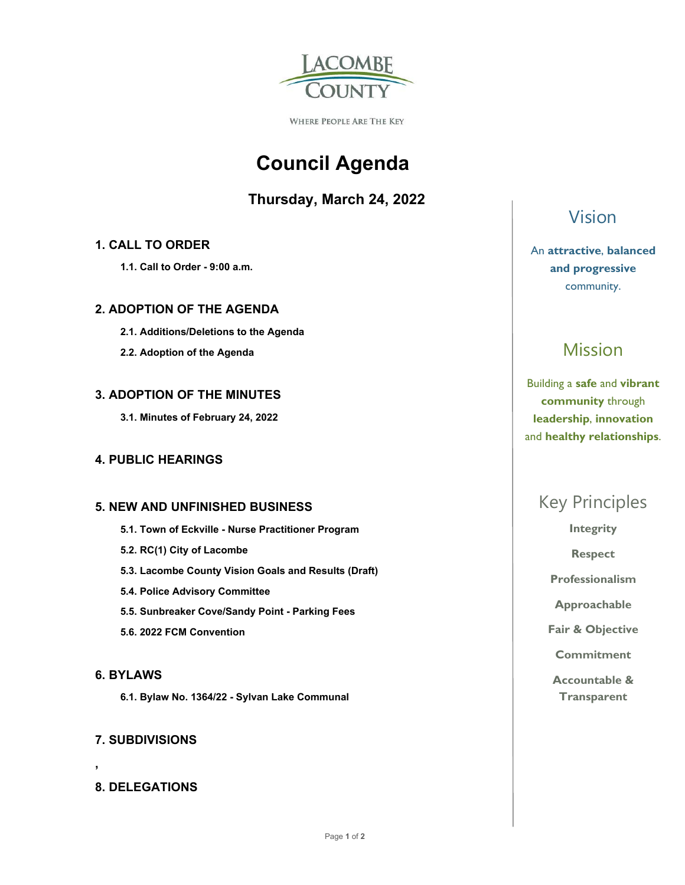

WHERE PEOPLE ARE THE KEY

# **Council Agenda**

### **Thursday, March 24, 2022**

### **1. CALL TO ORDER**

 **1.1. Call to Order - 9:00 a.m.** 

### **2. ADOPTION OF THE AGENDA**

- **2.1. Additions/Deletions to the Agenda**
- **2.2. Adoption of the Agenda**

### **3. ADOPTION OF THE MINUTES**

 **3.1. Minutes of February 24, 2022** 

### **4. PUBLIC HEARINGS**

#### **5. NEW AND UNFINISHED BUSINESS**

- **5.1. Town of Eckville Nurse Practitioner Program**
- **5.2. RC(1) City of Lacombe**
- **5.3. Lacombe County Vision Goals and Results (Draft)**
- **5.4. Police Advisory Committee**
- **5.5. Sunbreaker Cove/Sandy Point Parking Fees**
- **5.6. 2022 FCM Convention**

#### **6. BYLAWS**

**,** 

 **6.1. Bylaw No. 1364/22 - Sylvan Lake Communal** 

### **7. SUBDIVISIONS**

### **8. DELEGATIONS**

### Vision

An **attractive**, **balanced and progressive**  community.

## Mission

Building a **safe** and **vibrant community** through **leadership**, **innovation**  and **healthy relationships**.

### Key Principles

**Integrity** 

**Respect** 

**Professionalism** 

**Approachable** 

**Fair & Objective** 

**Commitment** 

**Accountable & Transparent**